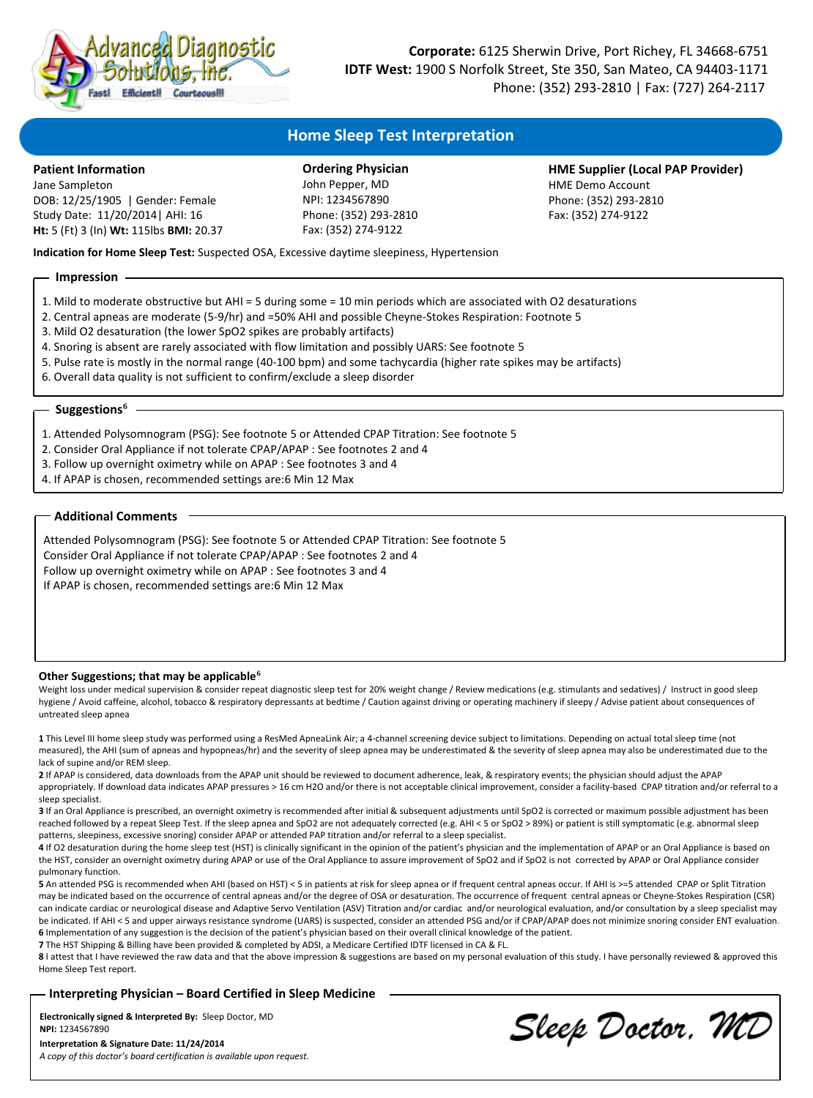

**Corporate:** 6125 Sherwin Drive, Port Richey, FL 34668-6751 **IDTF West:** 1900 S Norfolk Street, Ste 350, San Mateo, CA 94403-1171 Phone: (352) 293-2810 | Fax: (727) 264-2117

# **Home Sleep Test Interpretation**

## **Patient Information**

Jane Sampleton DOB: 12/25/1905 | Gender: Female Study Date: 11/20/2014| AHI: 16 **Ht:** 5 (Ft) 3 (In) **Wt:** 115lbs **BMI:** 20.37

**Ordering Physician** John Pepper, MD NPI: 1234567890 Phone: (352) 293-2810 Fax: (352) 274-9122

**HME Supplier (Local PAP Provider)** HME Demo Account Phone: (352) 293-2810 Fax: (352) 274-9122

**Indication for Home Sleep Test:** Suspected OSA, Excessive daytime sleepiness, Hypertension

## **Impression**

- 1. Mild to moderate obstructive but AHI = 5 during some = 10 min periods which are associated with O2 desaturations
- 2. Central apneas are moderate (5-9/hr) and =50% AHI and possible Cheyne-Stokes Respiration: Footnote 5
- 3. Mild O2 desaturation (the lower SpO2 spikes are probably artifacts)
- 4. Snoring is absent are rarely associated with flow limitation and possibly UARS: See footnote 5
- 5. Pulse rate is mostly in the normal range (40-100 bpm) and some tachycardia (higher rate spikes may be artifacts)
- 6. Overall data quality is not sufficient to confirm/exclude a sleep disorder

#### **Suggestions**<sup>6</sup>

- 1. Attended Polysomnogram (PSG): See footnote 5 or Attended CPAP Titration: See footnote 5
- 2. Consider Oral Appliance if not tolerate CPAP/APAP : See footnotes 2 and 4
- 3. Follow up overnight oximetry while on APAP : See footnotes 3 and 4
- 4. If APAP is chosen, recommended settings are:6 Min 12 Max

## **Additional Comments**

Attended Polysomnogram (PSG): See footnote 5 or Attended CPAP Titration: See footnote 5 Consider Oral Appliance if not tolerate CPAP/APAP : See footnotes 2 and 4 Follow up overnight oximetry while on APAP : See footnotes 3 and 4 If APAP is chosen, recommended settings are:6 Min 12 Max

#### **Other Suggestions; that may be applicable**<sup>6</sup>

Weight loss under medical supervision & consider repeat diagnostic sleep test for 20% weight change / Review medications (e.g. stimulants and sedatives) / Instruct in good sleep hygiene / Avoid caffeine, alcohol, tobacco & respiratory depressants at bedtime / Caution against driving or operating machinery if sleepy / Advise patient about consequences of untreated sleep apnea

**1** This Level III home sleep study was performed using a ResMed ApneaLink Air; a 4-channel screening device subject to limitations. Depending on actual total sleep time (not measured), the AHI (sum of apneas and hypopneas/hr) and the severity of sleep apnea may be underestimated & the severity of sleep apnea may also be underestimated due to the lack of supine and/or REM sleep.

**2** If APAP is considered, data downloads from the APAP unit should be reviewed to document adherence, leak, & respiratory events; the physician should adjust the APAP appropriately. If download data indicates APAP pressures > 16 cm H2O and/or there is not acceptable clinical improvement, consider a facility-based CPAP titration and/or referral to a sleep specialist.

**3** If an Oral Appliance is prescribed, an overnight oximetry is recommended after initial & subsequent adjustments until SpO2 is corrected or maximum possible adjustment has been reached followed by a repeat Sleep Test. If the sleep apnea and SpO2 are not adequately corrected (e.g. AHI < 5 or SpO2 > 89%) or patient is still symptomatic (e.g. abnormal sleep patterns, sleepiness, excessive snoring) consider APAP or attended PAP titration and/or referral to a sleep specialist.

4 If O2 desaturation during the home sleep test (HST) is clinically significant in the opinion of the patient's physician and the implementation of APAP or an Oral Appliance is based on the HST, consider an overnight oximetry during APAP or use of the Oral Appliance to assure improvement of SpO2 and if SpO2 is not corrected by APAP or Oral Appliance consider pulmonary function.

**5** An attended PSG is recommended when AHI (based on HST) < 5 in patients at risk for sleep apnea or if frequent central apneas occur. If AHI is >=5 attended CPAP or Split Titration may be indicated based on the occurrence of central apneas and/or the degree of OSA or desaturation. The occurrence of frequent central apneas or Cheyne-Stokes Respiration (CSR) can indicate cardiac or neurological disease and Adaptive Servo Ventilation (ASV) Titration and/or cardiac and/or neurological evaluation, and/or consultation by a sleep specialist may be indicated. If AHI < 5 and upper airways resistance syndrome (UARS) is suspected, consider an attended PSG and/or if CPAP/APAP does not minimize snoring consider ENT evaluation. **6** Implementation of any suggestion is the decision of the patient's physician based on their overall clinical knowledge of the patient.

**7** The HST Shipping & Billing have been provided & completed by ADSI, a Medicare Certified IDTF licensed in CA & FL.

8 I attest that I have reviewed the raw data and that the above impression & suggestions are based on my personal evaluation of this study. I have personally reviewed & approved this Home Sleep Test report.

**Interpreting Physician – Board Certified in Sleep Medicine**

**Electronically signed & Interpreted By:** Sleep Doctor, MD **NPI:** 1234567890 **Interpretation & Signature Date: 11/24/2014**

Sleep Doctor, MD

*A copy of this doctor's board certification is available upon request.*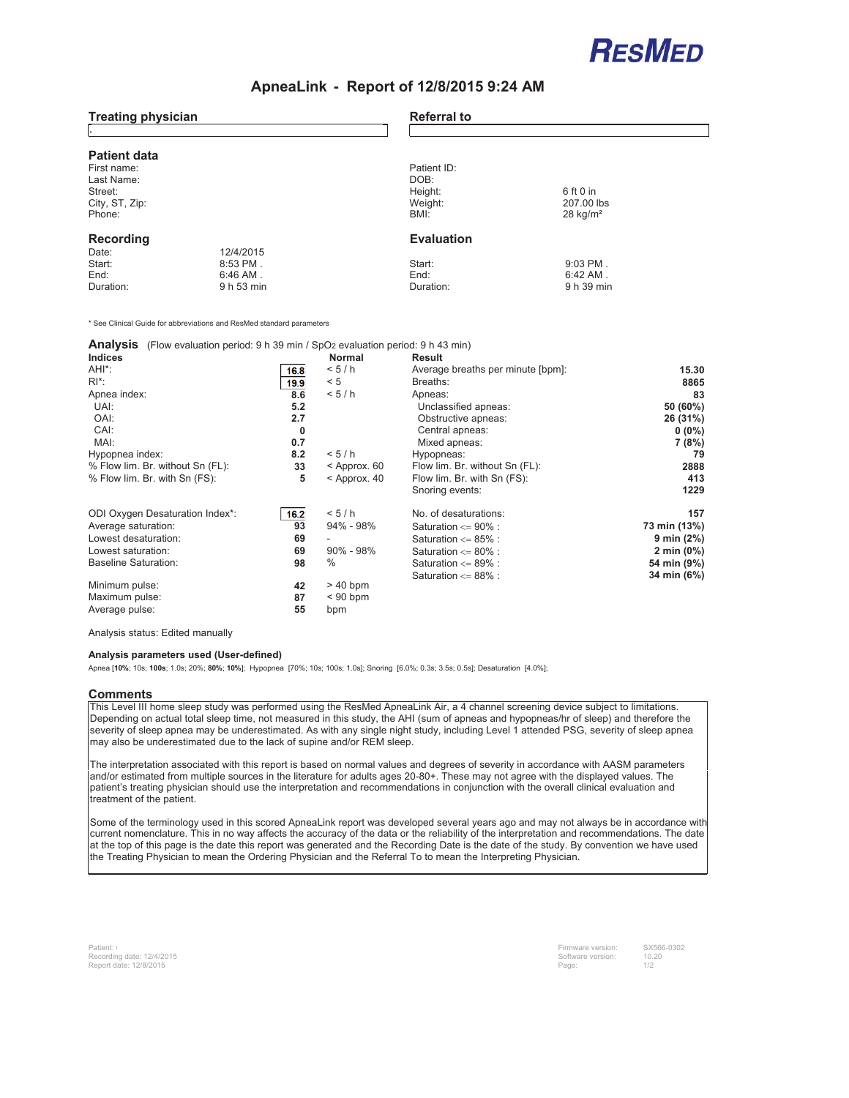

## **ApneaLink - Report of 12/8/2015 9:24 AM**

| <b>Treating physician</b>          |            | <b>Referral to</b> |                                      |  |  |
|------------------------------------|------------|--------------------|--------------------------------------|--|--|
| <b>Patient data</b><br>First name: |            | Patient ID:        |                                      |  |  |
| Last Name:                         |            | DOB:               |                                      |  |  |
| Street:                            |            | Height:            | 6 ft 0 in                            |  |  |
| City, ST, Zip:<br>Phone:           |            | Weight:<br>BMI:    | 207.00 lbs<br>$28$ kg/m <sup>2</sup> |  |  |
| Recording                          |            | <b>Evaluation</b>  |                                      |  |  |
| Date:                              | 12/4/2015  |                    |                                      |  |  |
| Start:                             | $8:53$ PM. | Start:             | $9:03$ PM.                           |  |  |
| End:                               | $6:46$ AM. | End:               | $6:42$ AM.                           |  |  |
| Duration:                          | 9 h 53 min | Duration:          | 9 h 39 min                           |  |  |

\* See Clinical Guide for abbreviations and ResMed standard parameters

#### **Analysis** (Flow evaluation period: 9 h 39 min / SpO2 evaluation period: 9 h 43 min)

| <b>Indices</b>                   |              | <b>Normal</b>  | Result                            |               |
|----------------------------------|--------------|----------------|-----------------------------------|---------------|
| AHI <sup>*</sup> :               | 16.8         | < 5/h          | Average breaths per minute [bpm]: | 15.30         |
| $R^*$ :                          | 19.9         | < 5            | Breaths:                          | 8865          |
| Apnea index:                     | 8.6          | < 5/h          | Apneas:                           | 83            |
| UAI:                             | 5.2          |                | Unclassified apneas:              | 50 (60%)      |
| OAI:                             | 2.7          |                | Obstructive apneas:               | 26 (31%)      |
| CAI:                             | $\mathbf{0}$ |                | Central apneas:                   | $0(0\%)$      |
| MAI:                             | 0.7          |                | Mixed apneas:                     | 7 (8%)        |
| Hypopnea index:                  | 8.2          | < 5/h          | Hypopneas:                        | 79            |
| % Flow lim. Br. without Sn (FL): | 33           | $<$ Approx. 60 | Flow lim. Br. without Sn (FL):    | 2888          |
| % Flow lim. Br. with Sn (FS):    | 5            | $<$ Approx. 40 | Flow lim. Br. with Sn (FS):       | 413           |
|                                  |              |                | Snoring events:                   | 1229          |
| ODI Oxygen Desaturation Index*:  | 16.2         | < 5/h          | No. of desaturations:             | 157           |
| Average saturation:              | 93           | $94\% - 98\%$  | Saturation <= 90% :               | 73 min (13%)  |
| Lowest desaturation:             | 69           |                | Saturation $\leq$ 85% :           | 9 min $(2%)$  |
| Lowest saturation:               | 69           | $90\% - 98\%$  | Saturation $\leq 80\%$ :          | 2 min $(0\%)$ |
| <b>Baseline Saturation:</b>      | 98           | $\%$           | Saturation $\leq$ 89% :           | 54 min (9%)   |
|                                  |              |                | Saturation $\leq$ 88% :           | 34 min (6%)   |
| Minimum pulse:                   | 42           | $>40$ bpm      |                                   |               |
| Maximum pulse:                   | 87           | $< 90$ bpm     |                                   |               |
| Average pulse:                   | 55           | bpm            |                                   |               |

Analysis status: Edited manually

#### **Analysis parameters used (User-defined)**

Apnea [**10%**; 10s; **100s**; 1.0s; 20%; **80%**; **10%**]; Hypopnea [70%; 10s; 100s; 1.0s]; Snoring [6.0%; 0.3s; 3.5s; 0.5s]; Desaturation [4.0%];

#### **Comments**

This Level III home sleep study was performed using the ResMed ApneaLink Air, a 4 channel screening device subject to limitations. Depending on actual total sleep time, not measured in this study, the AHI (sum of apneas and hypopneas/hr of sleep) and therefore the severity of sleep apnea may be underestimated. As with any single night study, including Level 1 attended PSG, severity of sleep apnea may also be underestimated due to the lack of supine and/or REM sleep.

The interpretation associated with this report is based on normal values and degrees of severity in accordance with AASM parameters and/or estimated from multiple sources in the literature for adults ages 20-80+. These may not agree with the displayed values. The patient's treating physician should use the interpretation and recommendations in conjunction with the overall clinical evaluation and treatment of the patient.

Some of the terminology used in this scored ApneaLink report was developed several years ago and may not always be in accordance with current nomenclature. This in no way affects the accuracy of the data or the reliability of the interpretation and recommendations. The date at the top of this page is the date this report was generated and the Recording Date is the date of the study. By convention we have used the Treating Physician to mean the Ordering Physician and the Referral To to mean the Interpreting Physician.

Firmware version: Software version: Page: SX566-0302 10.20 1/2